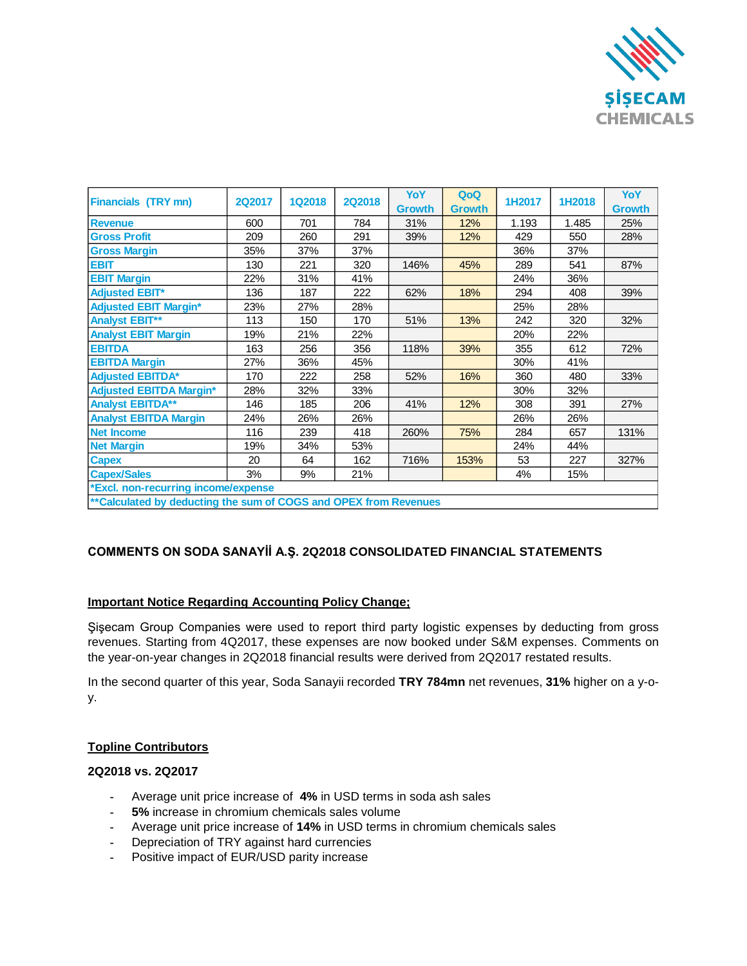

| <b>Financials (TRY mn)</b>                                        | <b>2Q2017</b> | <b>1Q2018</b> | <b>2Q2018</b> | YoY<br><b>Growth</b> | QoQ<br><b>Growth</b> | 1H2017 | 1H2018 | <b>YoY</b><br><b>Growth</b> |
|-------------------------------------------------------------------|---------------|---------------|---------------|----------------------|----------------------|--------|--------|-----------------------------|
| <b>Revenue</b>                                                    | 600           | 701           | 784           | 31%                  | 12%                  | 1.193  | 1.485  | 25%                         |
| <b>Gross Profit</b>                                               | 209           | 260           | 291           | 39%                  | 12%                  | 429    | 550    | 28%                         |
| <b>Gross Margin</b>                                               | 35%           | 37%           | 37%           |                      |                      | 36%    | 37%    |                             |
| <b>EBIT</b>                                                       | 130           | 221           | 320           | 146%                 | 45%                  | 289    | 541    | 87%                         |
| <b>EBIT Margin</b>                                                | 22%           | 31%           | 41%           |                      |                      | 24%    | 36%    |                             |
| <b>Adjusted EBIT*</b>                                             | 136           | 187           | 222           | 62%                  | 18%                  | 294    | 408    | 39%                         |
| <b>Adjusted EBIT Margin*</b>                                      | 23%           | 27%           | 28%           |                      |                      | 25%    | 28%    |                             |
| <b>Analyst EBIT**</b>                                             | 113           | 150           | 170           | 51%                  | 13%                  | 242    | 320    | 32%                         |
| <b>Analyst EBIT Margin</b>                                        | 19%           | 21%           | 22%           |                      |                      | 20%    | 22%    |                             |
| <b>EBITDA</b>                                                     | 163           | 256           | 356           | 118%                 | 39%                  | 355    | 612    | 72%                         |
| <b>EBITDA Margin</b>                                              | 27%           | 36%           | 45%           |                      |                      | 30%    | 41%    |                             |
| <b>Adjusted EBITDA*</b>                                           | 170           | 222           | 258           | 52%                  | 16%                  | 360    | 480    | 33%                         |
| <b>Adjusted EBITDA Margin*</b>                                    | 28%           | 32%           | 33%           |                      |                      | 30%    | 32%    |                             |
| <b>Analyst EBITDA**</b>                                           | 146           | 185           | 206           | 41%                  | 12%                  | 308    | 391    | 27%                         |
| <b>Analyst EBITDA Margin</b>                                      | 24%           | 26%           | 26%           |                      |                      | 26%    | 26%    |                             |
| <b>Net Income</b>                                                 | 116           | 239           | 418           | 260%                 | 75%                  | 284    | 657    | 131%                        |
| <b>Net Margin</b>                                                 | 19%           | 34%           | 53%           |                      |                      | 24%    | 44%    |                             |
| <b>Capex</b>                                                      | 20            | 64            | 162           | 716%                 | 153%                 | 53     | 227    | 327%                        |
| <b>Capex/Sales</b>                                                | 3%            | 9%            | 21%           |                      |                      | 4%     | 15%    |                             |
| *Excl. non-recurring income/expense                               |               |               |               |                      |                      |        |        |                             |
| ** Calculated by deducting the sum of COGS and OPEX from Revenues |               |               |               |                      |                      |        |        |                             |

# **COMMENTS ON SODA SANAYİİ A.Ş. 2Q2018 CONSOLIDATED FINANCIAL STATEMENTS**

### **Important Notice Regarding Accounting Policy Change;**

Şişecam Group Companies were used to report third party logistic expenses by deducting from gross revenues. Starting from 4Q2017, these expenses are now booked under S&M expenses. Comments on the year-on-year changes in 2Q2018 financial results were derived from 2Q2017 restated results.

In the second quarter of this year, Soda Sanayii recorded **TRY 784mn** net revenues, **31%** higher on a y-oy.

### **Topline Contributors**

# **2Q2018 vs. 2Q2017**

- **-** Average unit price increase of **4%** in USD terms in soda ash sales
- **- 5%** increase in chromium chemicals sales volume
- **-** Average unit price increase of **14%** in USD terms in chromium chemicals sales
- **-** Depreciation of TRY against hard currencies
- **-** Positive impact of EUR/USD parity increase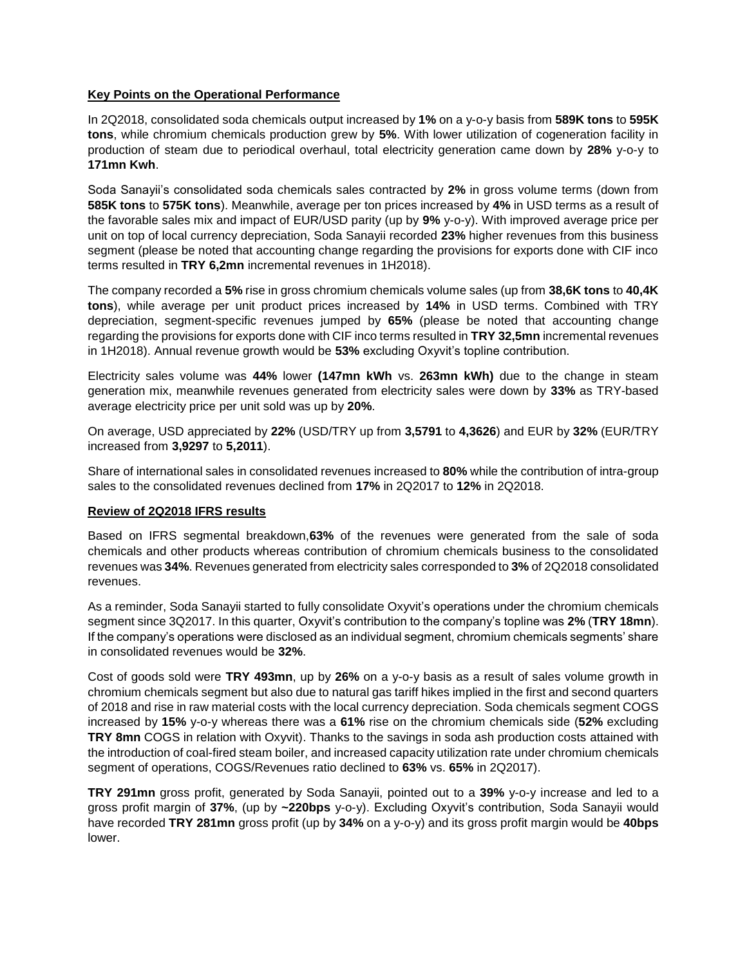## **Key Points on the Operational Performance**

In 2Q2018, consolidated soda chemicals output increased by **1%** on a y-o-y basis from **589K tons** to **595K tons**, while chromium chemicals production grew by **5%**. With lower utilization of cogeneration facility in production of steam due to periodical overhaul, total electricity generation came down by **28%** y-o-y to **171mn Kwh**.

Soda Sanayii's consolidated soda chemicals sales contracted by **2%** in gross volume terms (down from **585K tons** to **575K tons**). Meanwhile, average per ton prices increased by **4%** in USD terms as a result of the favorable sales mix and impact of EUR/USD parity (up by **9%** y-o-y). With improved average price per unit on top of local currency depreciation, Soda Sanayii recorded **23%** higher revenues from this business segment (please be noted that accounting change regarding the provisions for exports done with CIF inco terms resulted in **TRY 6,2mn** incremental revenues in 1H2018).

The company recorded a **5%** rise in gross chromium chemicals volume sales (up from **38,6K tons** to **40,4K tons**), while average per unit product prices increased by **14%** in USD terms. Combined with TRY depreciation, segment-specific revenues jumped by **65%** (please be noted that accounting change regarding the provisions for exports done with CIF inco terms resulted in **TRY 32,5mn** incremental revenues in 1H2018). Annual revenue growth would be **53%** excluding Oxyvit's topline contribution.

Electricity sales volume was **44%** lower **(147mn kWh** vs. **263mn kWh)** due to the change in steam generation mix, meanwhile revenues generated from electricity sales were down by **33%** as TRY-based average electricity price per unit sold was up by **20%**.

On average, USD appreciated by **22%** (USD/TRY up from **3,5791** to **4,3626**) and EUR by **32%** (EUR/TRY increased from **3,9297** to **5,2011**).

Share of international sales in consolidated revenues increased to **80%** while the contribution of intra-group sales to the consolidated revenues declined from **17%** in 2Q2017 to **12%** in 2Q2018.

### **Review of 2Q2018 IFRS results**

Based on IFRS segmental breakdown,**63%** of the revenues were generated from the sale of soda chemicals and other products whereas contribution of chromium chemicals business to the consolidated revenues was **34%**. Revenues generated from electricity sales corresponded to **3%** of 2Q2018 consolidated revenues.

As a reminder, Soda Sanayii started to fully consolidate Oxyvit's operations under the chromium chemicals segment since 3Q2017. In this quarter, Oxyvit's contribution to the company's topline was **2%** (**TRY 18mn**). If the company's operations were disclosed as an individual segment, chromium chemicals segments' share in consolidated revenues would be **32%**.

Cost of goods sold were **TRY 493mn**, up by **26%** on a y-o-y basis as a result of sales volume growth in chromium chemicals segment but also due to natural gas tariff hikes implied in the first and second quarters of 2018 and rise in raw material costs with the local currency depreciation. Soda chemicals segment COGS increased by **15%** y-o-y whereas there was a **61%** rise on the chromium chemicals side (**52%** excluding **TRY 8mn** COGS in relation with Oxyvit). Thanks to the savings in soda ash production costs attained with the introduction of coal-fired steam boiler, and increased capacity utilization rate under chromium chemicals segment of operations, COGS/Revenues ratio declined to **63%** vs. **65%** in 2Q2017).

**TRY 291mn** gross profit, generated by Soda Sanayii, pointed out to a **39%** y-o-y increase and led to a gross profit margin of **37%**, (up by **~220bps** y-o-y). Excluding Oxyvit's contribution, Soda Sanayii would have recorded **TRY 281mn** gross profit (up by **34%** on a y-o-y) and its gross profit margin would be **40bps** lower.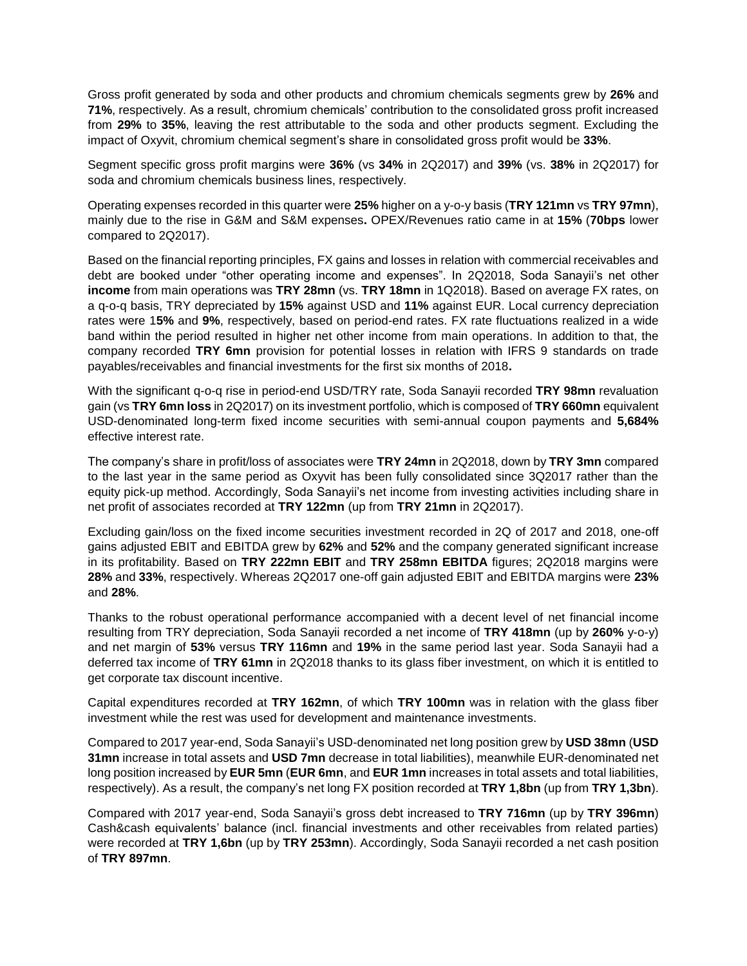Gross profit generated by soda and other products and chromium chemicals segments grew by **26%** and **71%**, respectively. As a result, chromium chemicals' contribution to the consolidated gross profit increased from **29%** to **35%**, leaving the rest attributable to the soda and other products segment. Excluding the impact of Oxyvit, chromium chemical segment's share in consolidated gross profit would be **33%**.

Segment specific gross profit margins were **36%** (vs **34%** in 2Q2017) and **39%** (vs. **38%** in 2Q2017) for soda and chromium chemicals business lines, respectively.

Operating expenses recorded in this quarter were **25%** higher on a y-o-y basis (**TRY 121mn** vs **TRY 97mn**), mainly due to the rise in G&M and S&M expenses**.** OPEX/Revenues ratio came in at **15%** (**70bps** lower compared to 2Q2017).

Based on the financial reporting principles, FX gains and losses in relation with commercial receivables and debt are booked under "other operating income and expenses". In 2Q2018, Soda Sanayii's net other **income** from main operations was **TRY 28mn** (vs. **TRY 18mn** in 1Q2018). Based on average FX rates, on a q-o-q basis, TRY depreciated by **15%** against USD and **11%** against EUR. Local currency depreciation rates were 1**5%** and **9%**, respectively, based on period-end rates. FX rate fluctuations realized in a wide band within the period resulted in higher net other income from main operations. In addition to that, the company recorded **TRY 6mn** provision for potential losses in relation with IFRS 9 standards on trade payables/receivables and financial investments for the first six months of 2018**.**

With the significant q-o-q rise in period-end USD/TRY rate, Soda Sanayii recorded **TRY 98mn** revaluation gain (vs **TRY 6mn loss** in 2Q2017) on its investment portfolio, which is composed of **TRY 660mn** equivalent USD-denominated long-term fixed income securities with semi-annual coupon payments and **5,684%** effective interest rate.

The company's share in profit/loss of associates were **TRY 24mn** in 2Q2018, down by **TRY 3mn** compared to the last year in the same period as Oxyvit has been fully consolidated since 3Q2017 rather than the equity pick-up method. Accordingly, Soda Sanayii's net income from investing activities including share in net profit of associates recorded at **TRY 122mn** (up from **TRY 21mn** in 2Q2017).

Excluding gain/loss on the fixed income securities investment recorded in 2Q of 2017 and 2018, one-off gains adjusted EBIT and EBITDA grew by **62%** and **52%** and the company generated significant increase in its profitability. Based on **TRY 222mn EBIT** and **TRY 258mn EBITDA** figures; 2Q2018 margins were **28%** and **33%**, respectively. Whereas 2Q2017 one-off gain adjusted EBIT and EBITDA margins were **23%** and **28%**.

Thanks to the robust operational performance accompanied with a decent level of net financial income resulting from TRY depreciation, Soda Sanayii recorded a net income of **TRY 418mn** (up by **260%** y-o-y) and net margin of **53%** versus **TRY 116mn** and **19%** in the same period last year. Soda Sanayii had a deferred tax income of **TRY 61mn** in 2Q2018 thanks to its glass fiber investment, on which it is entitled to get corporate tax discount incentive.

Capital expenditures recorded at **TRY 162mn**, of which **TRY 100mn** was in relation with the glass fiber investment while the rest was used for development and maintenance investments.

Compared to 2017 year-end, Soda Sanayii's USD-denominated net long position grew by **USD 38mn** (**USD 31mn** increase in total assets and **USD 7mn** decrease in total liabilities), meanwhile EUR-denominated net long position increased by **EUR 5mn** (**EUR 6mn**, and **EUR 1mn** increases in total assets and total liabilities, respectively). As a result, the company's net long FX position recorded at **TRY 1,8bn** (up from **TRY 1,3bn**).

Compared with 2017 year-end, Soda Sanayii's gross debt increased to **TRY 716mn** (up by **TRY 396mn**) Cash&cash equivalents' balance (incl. financial investments and other receivables from related parties) were recorded at **TRY 1,6bn** (up by **TRY 253mn**). Accordingly, Soda Sanayii recorded a net cash position of **TRY 897mn**.